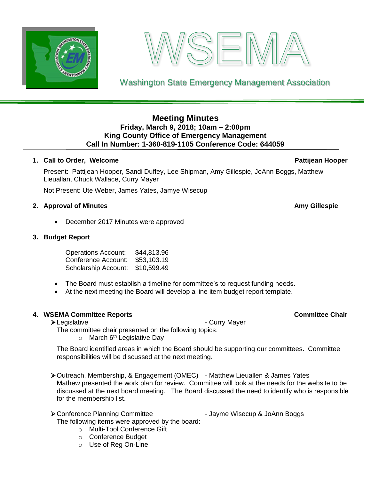



Washington State Emergency Management Association

# **Meeting Minutes Friday, March 9, 2018; 10am – 2:00pm King County Office of Emergency Management Call In Number: 1-360-819-1105 Conference Code: 644059**

## **1. Call to Order, Welcome Pattijean Hooper**

Present: Pattijean Hooper, Sandi Duffey, Lee Shipman, Amy Gillespie, JoAnn Boggs, Matthew Lieuallan, Chuck Wallace, Curry Mayer

Not Present: Ute Weber, James Yates, Jamye Wisecup

### **2. Approval of Minutes Amy Gillespie**

• December 2017 Minutes were approved

## **3. Budget Report**

Operations Account: \$44,813.96 Conference Account: \$53,103.19 Scholarship Account: \$10,599.49

 $\circ$  March 6<sup>th</sup> Legislative Day

responsibilities will be discussed at the next meeting.

- The Board must establish a timeline for committee's to request funding needs.
- At the next meeting the Board will develop a line item budget report template.

➢Outreach, Membership, & Engagement (OMEC) - Matthew Lieuallen & James Yates

### **4. WSEMA Committee Reports Committee Chair**

for the membership list.

➢Legislative - Curry Mayer

The Board identified areas in which the Board should be supporting our committees. Committee

Mathew presented the work plan for review. Committee will look at the needs for the website to be discussed at the next board meeting. The Board discussed the need to identify who is responsible

The committee chair presented on the following topics:

▶ Conference Planning Committee - Jayme Wisecup & JoAnn Boggs The following items were approved by the board:

- o Multi-Tool Conference Gift
- o Conference Budget
- o Use of Reg On-Line